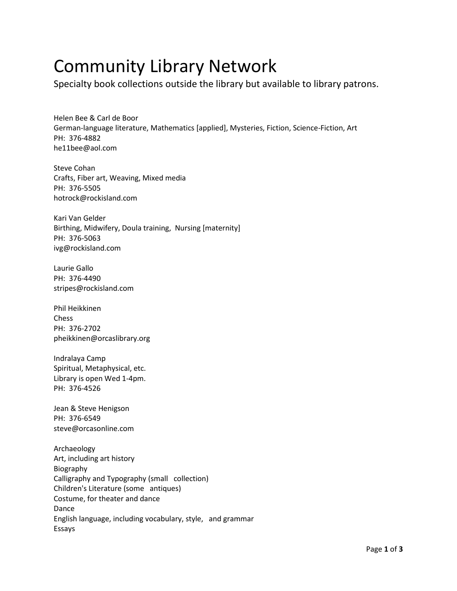## Community Library Network

Specialty book collections outside the library but available to library patrons.

Helen Bee & Carl de Boor German-language literature, Mathematics [applied], Mysteries, Fiction, Science-Fiction, Art PH: 376-4882 he11bee@aol.com

Steve Cohan Crafts, Fiber art, Weaving, Mixed media PH: 376-5505 hotrock@rockisland.com

Kari Van Gelder Birthing, Midwifery, Doula training, Nursing [maternity] PH: 376-5063 ivg@rockisland.com

Laurie Gallo PH: 376-4490 stripes@rockisland.com

Phil Heikkinen Chess PH: 376-2702 pheikkinen@orcaslibrary.org

Indralaya Camp Spiritual, Metaphysical, etc. Library is open Wed 1-4pm. PH: 376-4526

Jean & Steve Henigson PH: 376-6549 steve@orcasonline.com

Archaeology Art, including art history Biography Calligraphy and Typography (small collection) Children's Literature (some antiques) Costume, for theater and dance Dance English language, including vocabulary, style, and grammar Essays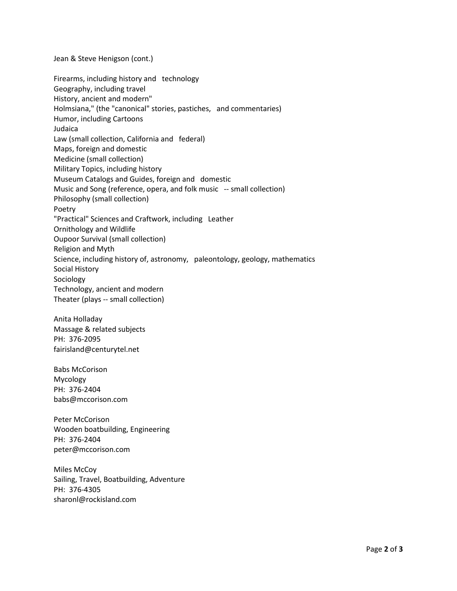Jean & Steve Henigson (cont.)

Firearms, including history and technology Geography, including travel History, ancient and modern" Holmsiana," (the "canonical" stories, pastiches, and commentaries) Humor, including Cartoons Judaica Law (small collection, California and federal) Maps, foreign and domestic Medicine (small collection) Military Topics, including history Museum Catalogs and Guides, foreign and domestic Music and Song (reference, opera, and folk music -- small collection) Philosophy (small collection) Poetry "Practical" Sciences and Craftwork, including Leather Ornithology and Wildlife Oupoor Survival (small collection) Religion and Myth Science, including history of, astronomy, paleontology, geology, mathematics Social History Sociology Technology, ancient and modern Theater (plays -- small collection)

Anita Holladay Massage & related subjects PH: 376-2095 fairisland@centurytel.net

Babs McCorison Mycology PH: 376-2404 babs@mccorison.com

Peter McCorison Wooden boatbuilding, Engineering PH: 376-2404 peter@mccorison.com

Miles McCoy Sailing, Travel, Boatbuilding, Adventure PH: 376-4305 sharonl@rockisland.com